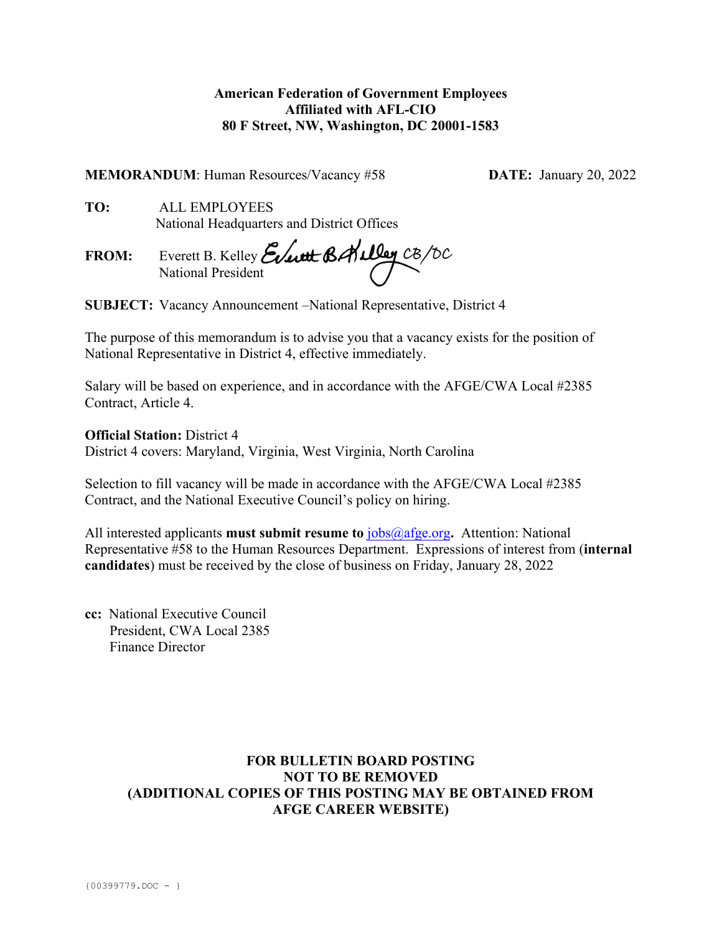## **American Federation of Government Employees Affiliated with AFL-CIO 80 F Street, NW, Washington, DC 20001-1583**

**MEMORANDUM**: Human Resources/Vacancy #58 **DATE:** January 20, 2022

**TO:** ALL EMPLOYEES National Headquarters and District Offices

**FROM:** Everett B. Kelley National President

**SUBJECT:** Vacancy Announcement –National Representative, District 4

The purpose of this memorandum is to advise you that a vacancy exists for the position of National Representative in District 4, effective immediately.

Salary will be based on experience, and in accordance with the AFGE/CWA Local #2385 Contract, Article 4.

**Official Station:** District 4

District 4 covers: Maryland, Virginia, West Virginia, North Carolina

Selection to fill vacancy will be made in accordance with the AFGE/CWA Local #2385 Contract, and the National Executive Council's policy on hiring.

All interested applicants **must submit resume to** [jobs@afge.org](mailto:jobs@afge.org)**.** Attention: National Representative #58 to the Human Resources Department. Expressions of interest from (**internal candidates**) must be received by the close of business on Friday, January 28, 2022

**cc:** National Executive Council President, CWA Local 2385 Finance Director

# **FOR BULLETIN BOARD POSTING NOT TO BE REMOVED (ADDITIONAL COPIES OF THIS POSTING MAY BE OBTAINED FROM AFGE CAREER WEBSITE)**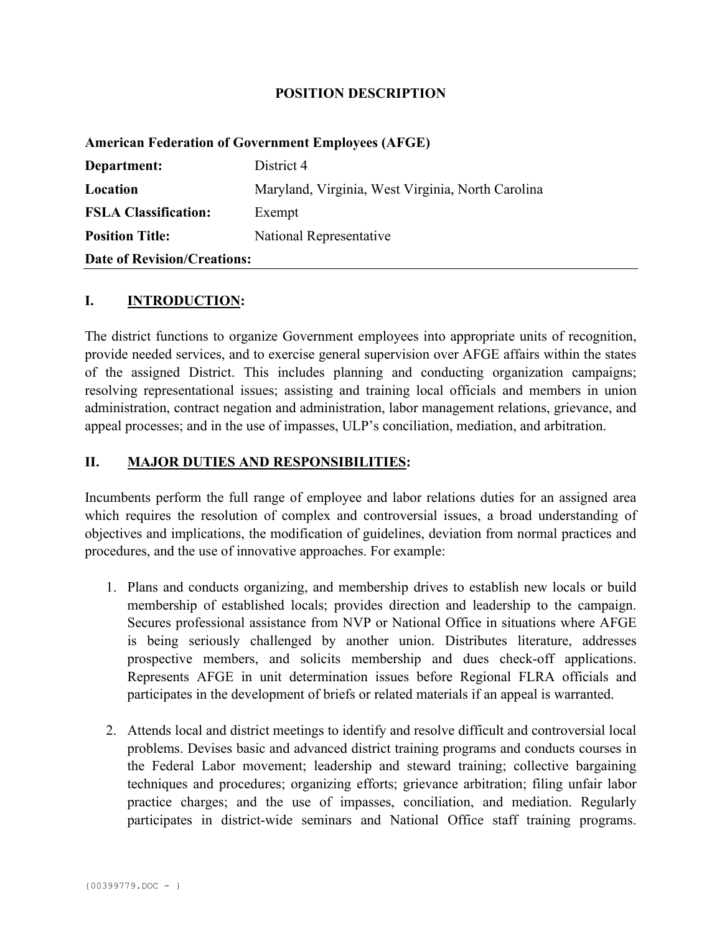#### **POSITION DESCRIPTION**

#### **American Federation of Government Employees (AFGE)**

| Department:                        | District 4                                        |
|------------------------------------|---------------------------------------------------|
| Location                           | Maryland, Virginia, West Virginia, North Carolina |
| <b>FSLA Classification:</b>        | Exempt                                            |
| <b>Position Title:</b>             | National Representative                           |
| <b>Date of Revision/Creations:</b> |                                                   |

## **I. INTRODUCTION:**

The district functions to organize Government employees into appropriate units of recognition, provide needed services, and to exercise general supervision over AFGE affairs within the states of the assigned District. This includes planning and conducting organization campaigns; resolving representational issues; assisting and training local officials and members in union administration, contract negation and administration, labor management relations, grievance, and appeal processes; and in the use of impasses, ULP's conciliation, mediation, and arbitration.

## **II. MAJOR DUTIES AND RESPONSIBILITIES:**

Incumbents perform the full range of employee and labor relations duties for an assigned area which requires the resolution of complex and controversial issues, a broad understanding of objectives and implications, the modification of guidelines, deviation from normal practices and procedures, and the use of innovative approaches. For example:

- 1. Plans and conducts organizing, and membership drives to establish new locals or build membership of established locals; provides direction and leadership to the campaign. Secures professional assistance from NVP or National Office in situations where AFGE is being seriously challenged by another union. Distributes literature, addresses prospective members, and solicits membership and dues check-off applications. Represents AFGE in unit determination issues before Regional FLRA officials and participates in the development of briefs or related materials if an appeal is warranted.
- 2. Attends local and district meetings to identify and resolve difficult and controversial local problems. Devises basic and advanced district training programs and conducts courses in the Federal Labor movement; leadership and steward training; collective bargaining techniques and procedures; organizing efforts; grievance arbitration; filing unfair labor practice charges; and the use of impasses, conciliation, and mediation. Regularly participates in district-wide seminars and National Office staff training programs.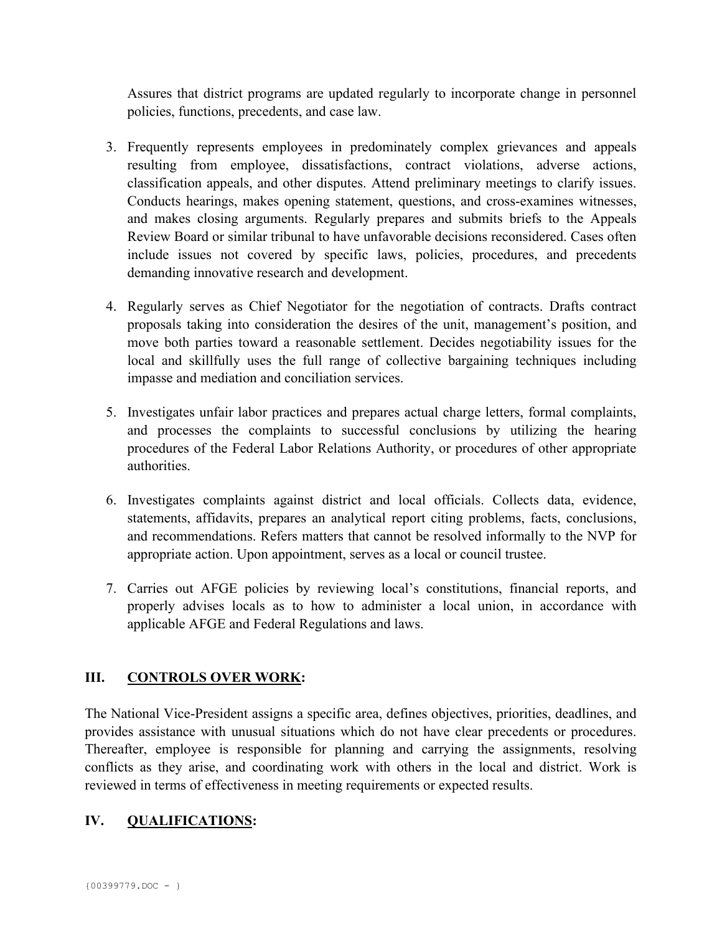Assures that district programs are updated regularly to incorporate change in personnel policies, functions, precedents, and case law.

- 3. Frequently represents employees in predominately complex grievances and appeals resulting from employee, dissatisfactions, contract violations, adverse actions, classification appeals, and other disputes. Attend preliminary meetings to clarify issues. Conducts hearings, makes opening statement, questions, and cross-examines witnesses, and makes closing arguments. Regularly prepares and submits briefs to the Appeals Review Board or similar tribunal to have unfavorable decisions reconsidered. Cases often include issues not covered by specific laws, policies, procedures, and precedents demanding innovative research and development.
- 4. Regularly serves as Chief Negotiator for the negotiation of contracts. Drafts contract proposals taking into consideration the desires of the unit, management's position, and move both parties toward a reasonable settlement. Decides negotiability issues for the local and skillfully uses the full range of collective bargaining techniques including impasse and mediation and conciliation services.
- 5. Investigates unfair labor practices and prepares actual charge letters, formal complaints, and processes the complaints to successful conclusions by utilizing the hearing procedures of the Federal Labor Relations Authority, or procedures of other appropriate authorities.
- 6. Investigates complaints against district and local officials. Collects data, evidence, statements, affidavits, prepares an analytical report citing problems, facts, conclusions, and recommendations. Refers matters that cannot be resolved informally to the NVP for appropriate action. Upon appointment, serves as a local or council trustee.
- 7. Carries out AFGE policies by reviewing local's constitutions, financial reports, and properly advises locals as to how to administer a local union, in accordance with applicable AFGE and Federal Regulations and laws.

## **III. CONTROLS OVER WORK:**

The National Vice-President assigns a specific area, defines objectives, priorities, deadlines, and provides assistance with unusual situations which do not have clear precedents or procedures. Thereafter, employee is responsible for planning and carrying the assignments, resolving conflicts as they arise, and coordinating work with others in the local and district. Work is reviewed in terms of effectiveness in meeting requirements or expected results.

# **IV. QUALIFICATIONS:**